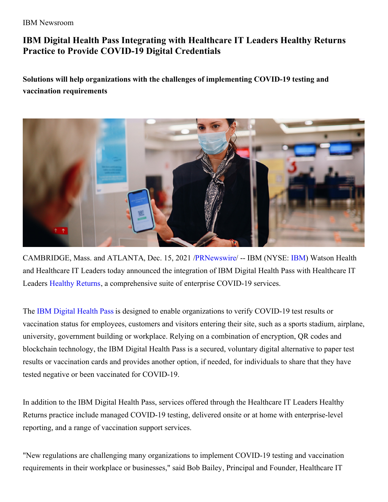#### IBM Newsroom

# **IBM Digital Health Pass Integrating with Healthcare IT Leaders Healthy Returns Practice to Provide COVID-19 Digital Credentials**

**Solutions will help organizations with the challenges of implementing COVID-19 testing and vaccination requirements**



CAMBRIDGE, Mass. and ATLANTA, Dec. 15, 2021 [/PRNewswire](http://www.prnewswire.com/)/ -- IBM (NYSE: [IBM](https://c212.net/c/link/?t=0&l=en&o=3389700-1&h=4069816394&u=http%3A%2F%2Fwww.ibm.com%2Finvestor&a=IBM)) Watson Health and Healthcare IT Leaders today announced the integration of IBM Digital Health Pass with Healthcare IT Leaders [Healthy](https://c212.net/c/link/?t=0&l=en&o=3389700-1&h=2350724524&u=https%3A%2F%2Fwww.healthyreturns.info%2F&a=Healthy+Returns) Returns, a comprehensive suite of enterprise COVID-19 services.

The IBM [Digital](https://c212.net/c/link/?t=0&l=en&o=3389700-1&h=3755767255&u=https%3A%2F%2Fwww.googleadservices.com%2Fpagead%2Faclk%3Fsa%3DL%26ai%3DDChcSEwjgtN-l4Z_0AhUQwMgKHbcgBpUYABAAGgJxdQ%26ohost%3Dwww.google.com%26cid%3DCAASE-Rol8J7KW2BBja7iNGfWRMhLY4%26sig%3DAOD64_1pBkLJKsskb_BJWReGRcSYRO3cpA%26q%26adurl%26ved%3D2ahUKEwjHutel4Z_0AhWrRDABHcJiDV0Q0Qx6BAgCEAE&a=IBM+Digital+Health+Pass) Health Pass is designed to enable organizations to verify COVID-19 test results or vaccination status for employees, customers and visitors entering their site, such as a sports stadium, airplane, university, government building or workplace. Relying on a combination of encryption, QR codes and blockchain technology, the IBM Digital Health Pass is a secured, voluntary digital alternative to paper test results or vaccination cards and provides another option, if needed, for individuals to share that they have tested negative or been vaccinated for COVID-19.

In addition to the IBM Digital Health Pass, services offered through the Healthcare IT Leaders Healthy Returns practice include managed COVID-19 testing, delivered onsite or at home with enterprise-level reporting, and a range of vaccination support services.

"New regulations are challenging many organizations to implement COVID-19 testing and vaccination requirements in their workplace or businesses," said Bob Bailey, Principal and Founder, Healthcare IT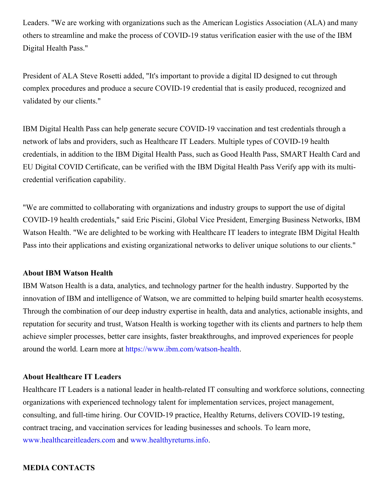Leaders. "We are working with organizations such as the American Logistics Association (ALA) and many others to streamline and make the process of COVID-19 status verification easier with the use of the IBM Digital Health Pass."

President of ALA Steve Rosetti added, "It's important to provide a digital ID designed to cut through complex procedures and produce a secure COVID-19 credential that is easily produced, recognized and validated by our clients."

IBM Digital Health Pass can help generate secure COVID-19 vaccination and test credentials through a network of labs and providers, such as Healthcare IT Leaders. Multiple types of COVID-19 health credentials, in addition to the IBM Digital Health Pass, such as Good Health Pass, SMART Health Card and EU Digital COVID Certificate, can be verified with the IBM Digital Health Pass Verify app with its multicredential verification capability.

"We are committed to collaborating with organizations and industry groups to support the use of digital COVID-19 health credentials," said Eric Piscini, Global Vice President, Emerging Business Networks, IBM Watson Health. "We are delighted to be working with Healthcare IT leaders to integrate IBM Digital Health Pass into their applications and existing organizational networks to deliver unique solutions to our clients."

#### **About IBM Watson Health**

IBM Watson Health is a data, analytics, and technology partner for the health industry. Supported by the innovation of IBM and intelligence of Watson, we are committed to helping build smarter health ecosystems. Through the combination of our deep industry expertise in health, data and analytics, actionable insights, and reputation for security and trust, Watson Health is working together with its clients and partners to help them achieve simpler processes, better care insights, faster breakthroughs, and improved experiences for people around the world. Learn more at [https://www.ibm.com/watson-health](https://c212.net/c/link/?t=0&l=en&o=3389700-1&h=4221824873&u=https%3A%2F%2Fc212.net%2Fc%2Flink%2F%3Ft%3D0%26l%3Den%26o%3D2844200-1%26h%3D2632420324%26u%3Dhttps%253A%252F%252Fwww.ibm.com%252Fwatson-health%26a%3Dhttps%253A%252F%252Fwww.ibm.com%252Fwatson-health&a=https%3A%2F%2Fwww.ibm.com%2Fwatson-health).

## **About Healthcare IT Leaders**

Healthcare IT Leaders is a national leader in health-related IT consulting and workforce solutions, connecting organizations with experienced technology talent for implementation services, project management, consulting, and full-time hiring. Our COVID-19 practice, Healthy Returns, delivers COVID-19 testing, contract tracing, and vaccination services for leading businesses and schools. To learn more, [www.healthcareitleaders.com](https://c212.net/c/link/?t=0&l=en&o=3389700-1&h=1706147683&u=http%3A%2F%2Fwww.healthcareitleaders.com%2F&a=www.healthcareitleaders.com) and [www.healthyreturns.info](https://c212.net/c/link/?t=0&l=en&o=3389700-1&h=1644593898&u=http%3A%2F%2Fwww.healthyreturns.info%2F&a=www.healthyreturns.info).

### **MEDIA CONTACTS**